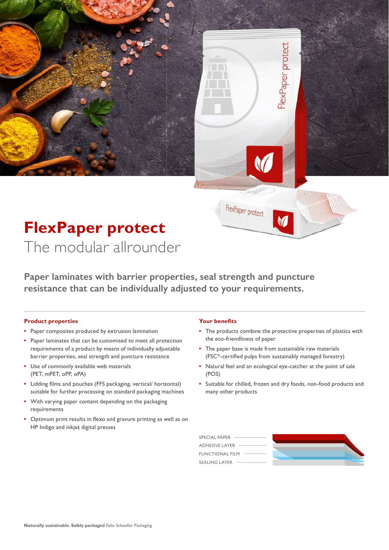## **FlexPaper protect**  The modular allrounder

**Paper laminates with barrier properties, seal strength and puncture resistance that can be individually adjusted to your requirements.**

#### **Product properties**

- Paper composites produced by extrusion lamination
- Paper laminates that can be customised to meet all protection requirements of a product by means of individually adjustable barrier properties, seal strength and puncture resistance
- Use of commonly available web materials (PET, mPET, oPP, oPA)
- Lidding films and pouches (FFS packaging, vertical/ horizontal) suitable for further processing on standard packaging machines
- With varying paper content depending on the packaging requirements
- Optimum print results in flexo and gravure printing as well as on HP Indigo and inkjet digital presses

#### **Your benefits**

FlexPaper protect

**•** The products combine the protective properties of plastics with the eco-friendliness of paper

FlexPaper protect

- The paper base is made from sustainable raw materials (FSC®-certified pulps from sustainably managed forestry)
- Natural feel and an ecological eye-catcher at the point of sale (POS)
- Suitable for chilled, frozen and dry foods, non-food products and many other products